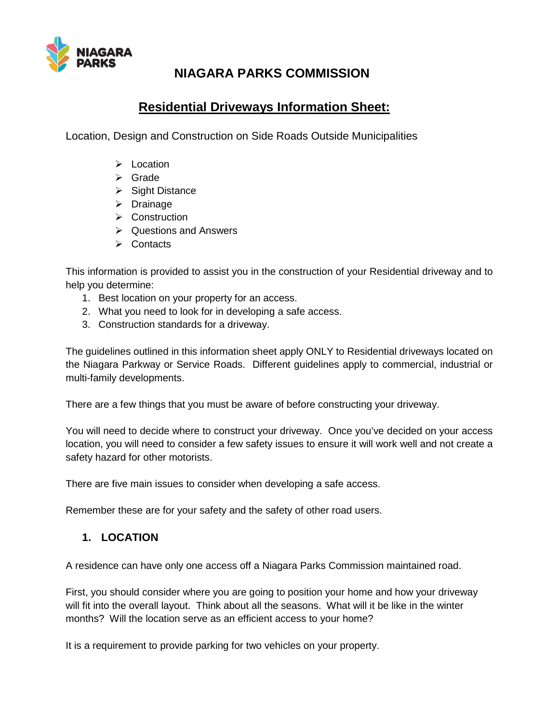

# **NIAGARA PARKS COMMISSION**

# **Residential Driveways Information Sheet:**

Location, Design and Construction on Side Roads Outside Municipalities

- $\triangleright$  Location
- $\triangleright$  Grade
- $\triangleright$  Sight Distance
- $\triangleright$  Drainage
- $\triangleright$  Construction
- $\triangleright$  Questions and Answers
- $\triangleright$  Contacts

This information is provided to assist you in the construction of your Residential driveway and to help you determine:

- 1. Best location on your property for an access.
- 2. What you need to look for in developing a safe access.
- 3. Construction standards for a driveway.

The guidelines outlined in this information sheet apply ONLY to Residential driveways located on the Niagara Parkway or Service Roads. Different guidelines apply to commercial, industrial or multi-family developments.

There are a few things that you must be aware of before constructing your driveway.

You will need to decide where to construct your driveway. Once you've decided on your access location, you will need to consider a few safety issues to ensure it will work well and not create a safety hazard for other motorists.

There are five main issues to consider when developing a safe access.

Remember these are for your safety and the safety of other road users.

### **1. LOCATION**

A residence can have only one access off a Niagara Parks Commission maintained road.

First, you should consider where you are going to position your home and how your driveway will fit into the overall layout. Think about all the seasons. What will it be like in the winter months? Will the location serve as an efficient access to your home?

It is a requirement to provide parking for two vehicles on your property.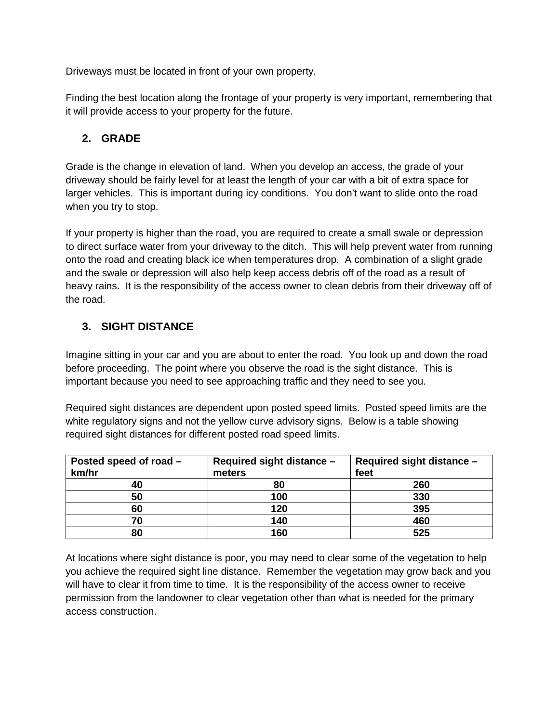Driveways must be located in front of your own property.

Finding the best location along the frontage of your property is very important, remembering that it will provide access to your property for the future.

### **2. GRADE**

Grade is the change in elevation of land. When you develop an access, the grade of your driveway should be fairly level for at least the length of your car with a bit of extra space for larger vehicles. This is important during icy conditions. You don't want to slide onto the road when you try to stop.

If your property is higher than the road, you are required to create a small swale or depression to direct surface water from your driveway to the ditch. This will help prevent water from running onto the road and creating black ice when temperatures drop. A combination of a slight grade and the swale or depression will also help keep access debris off of the road as a result of heavy rains. It is the responsibility of the access owner to clean debris from their driveway off of the road.

## **3. SIGHT DISTANCE**

Imagine sitting in your car and you are about to enter the road. You look up and down the road before proceeding. The point where you observe the road is the sight distance. This is important because you need to see approaching traffic and they need to see you.

Required sight distances are dependent upon posted speed limits. Posted speed limits are the white regulatory signs and not the yellow curve advisory signs. Below is a table showing required sight distances for different posted road speed limits.

| Posted speed of road -<br>km/hr | Required sight distance -<br>meters | Required sight distance -<br>feet |
|---------------------------------|-------------------------------------|-----------------------------------|
| 40                              | 80                                  | 260                               |
| 50                              | 100                                 | 330                               |
| 60                              | 120                                 | 395                               |
| 70                              | 140                                 | 460                               |
| 80                              | 160                                 | 525                               |

At locations where sight distance is poor, you may need to clear some of the vegetation to help you achieve the required sight line distance. Remember the vegetation may grow back and you will have to clear it from time to time. It is the responsibility of the access owner to receive permission from the landowner to clear vegetation other than what is needed for the primary access construction.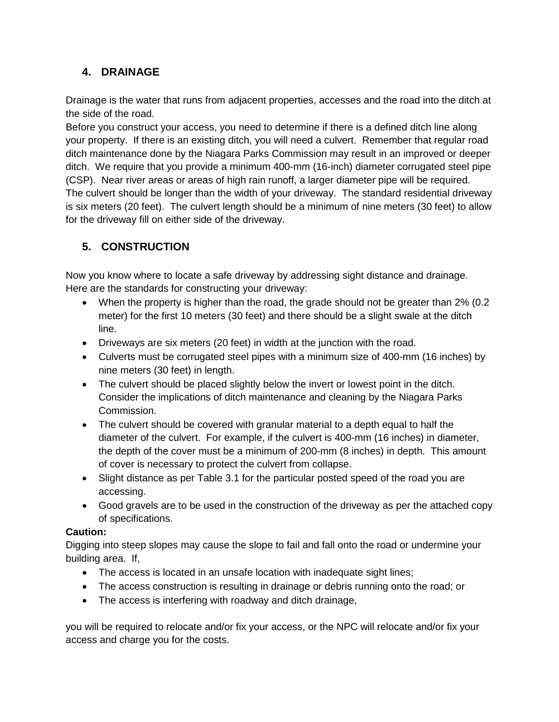## **4. DRAINAGE**

Drainage is the water that runs from adjacent properties, accesses and the road into the ditch at the side of the road.

Before you construct your access, you need to determine if there is a defined ditch line along your property. If there is an existing ditch, you will need a culvert. Remember that regular road ditch maintenance done by the Niagara Parks Commission may result in an improved or deeper ditch. We require that you provide a minimum 400-mm (16-inch) diameter corrugated steel pipe (CSP). Near river areas or areas of high rain runoff, a larger diameter pipe will be required. The culvert should be longer than the width of your driveway. The standard residential driveway is six meters (20 feet). The culvert length should be a minimum of nine meters (30 feet) to allow for the driveway fill on either side of the driveway.

# **5. CONSTRUCTION**

Now you know where to locate a safe driveway by addressing sight distance and drainage. Here are the standards for constructing your driveway:

- When the property is higher than the road, the grade should not be greater than 2% (0.2 meter) for the first 10 meters (30 feet) and there should be a slight swale at the ditch line.
- Driveways are six meters (20 feet) in width at the junction with the road.
- Culverts must be corrugated steel pipes with a minimum size of 400-mm (16 inches) by nine meters (30 feet) in length.
- The culvert should be placed slightly below the invert or lowest point in the ditch. Consider the implications of ditch maintenance and cleaning by the Niagara Parks Commission.
- The culvert should be covered with granular material to a depth equal to half the diameter of the culvert. For example, if the culvert is 400-mm (16 inches) in diameter, the depth of the cover must be a minimum of 200-mm (8 inches) in depth. This amount of cover is necessary to protect the culvert from collapse.
- Slight distance as per Table 3.1 for the particular posted speed of the road you are accessing.
- Good gravels are to be used in the construction of the driveway as per the attached copy of specifications.

### **Caution:**

Digging into steep slopes may cause the slope to fail and fall onto the road or undermine your building area. If,

- The access is located in an unsafe location with inadequate sight lines;
- The access construction is resulting in drainage or debris running onto the road; or
- The access is interfering with roadway and ditch drainage,

you will be required to relocate and/or fix your access, or the NPC will relocate and/or fix your access and charge you for the costs.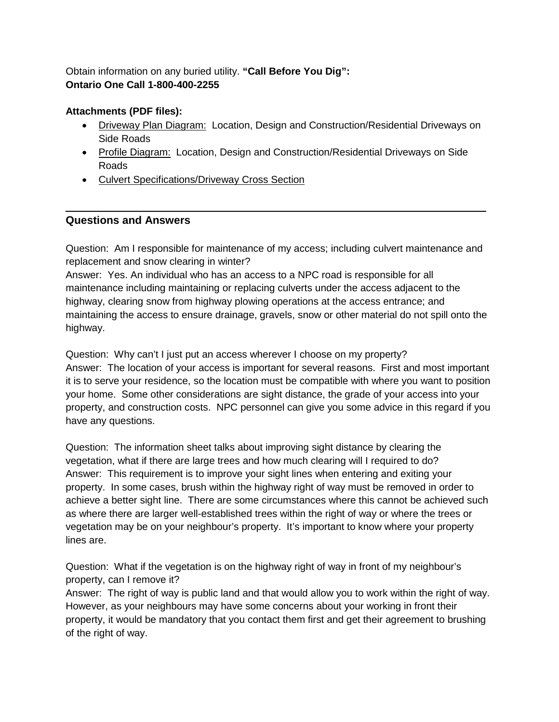#### Obtain information on any buried utility. **"Call Before You Dig": Ontario One Call 1-800-400-2255**

### **Attachments (PDF files):**

- Driveway Plan Diagram: Location, Design and Construction/Residential Driveways on Side Roads
- Profile Diagram:Location, Design and Construction/Residential Driveways on Side Roads
- Culvert Specifications/Driveway Cross Section

### **Questions and Answers**

Question: Am I responsible for maintenance of my access; including culvert maintenance and replacement and snow clearing in winter?

Answer: Yes. An individual who has an access to a NPC road is responsible for all maintenance including maintaining or replacing culverts under the access adjacent to the highway, clearing snow from highway plowing operations at the access entrance; and maintaining the access to ensure drainage, gravels, snow or other material do not spill onto the highway.

Question: Why can't I just put an access wherever I choose on my property? Answer: The location of your access is important for several reasons. First and most important it is to serve your residence, so the location must be compatible with where you want to position your home. Some other considerations are sight distance, the grade of your access into your property, and construction costs. NPC personnel can give you some advice in this regard if you have any questions.

Question: The information sheet talks about improving sight distance by clearing the vegetation, what if there are large trees and how much clearing will I required to do? Answer: This requirement is to improve your sight lines when entering and exiting your property. In some cases, brush within the highway right of way must be removed in order to achieve a better sight line. There are some circumstances where this cannot be achieved such as where there are larger well-established trees within the right of way or where the trees or vegetation may be on your neighbour's property. It's important to know where your property lines are.

Question: What if the vegetation is on the highway right of way in front of my neighbour's property, can I remove it?

Answer: The right of way is public land and that would allow you to work within the right of way. However, as your neighbours may have some concerns about your working in front their property, it would be mandatory that you contact them first and get their agreement to brushing of the right of way.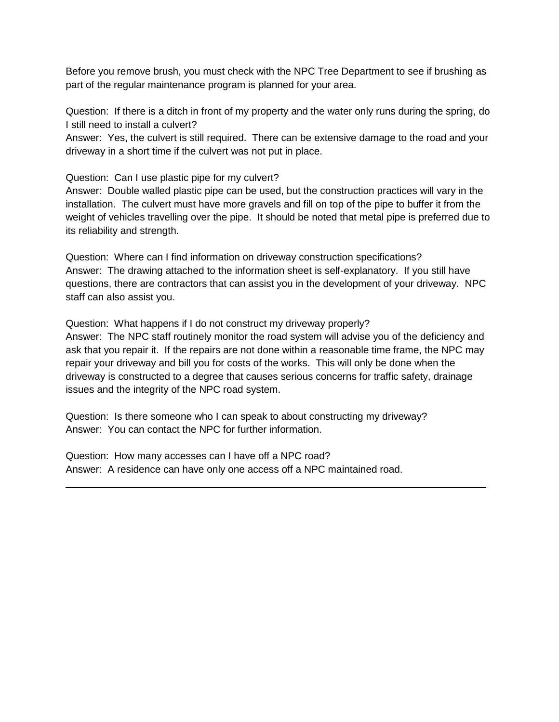Before you remove brush, you must check with the NPC Tree Department to see if brushing as part of the regular maintenance program is planned for your area.

Question: If there is a ditch in front of my property and the water only runs during the spring, do I still need to install a culvert?

Answer: Yes, the culvert is still required. There can be extensive damage to the road and your driveway in a short time if the culvert was not put in place.

Question: Can I use plastic pipe for my culvert?

Answer: Double walled plastic pipe can be used, but the construction practices will vary in the installation. The culvert must have more gravels and fill on top of the pipe to buffer it from the weight of vehicles travelling over the pipe. It should be noted that metal pipe is preferred due to its reliability and strength.

Question: Where can I find information on driveway construction specifications? Answer: The drawing attached to the information sheet is self-explanatory. If you still have questions, there are contractors that can assist you in the development of your driveway. NPC staff can also assist you.

Question: What happens if I do not construct my driveway properly?

Answer: The NPC staff routinely monitor the road system will advise you of the deficiency and ask that you repair it. If the repairs are not done within a reasonable time frame, the NPC may repair your driveway and bill you for costs of the works. This will only be done when the driveway is constructed to a degree that causes serious concerns for traffic safety, drainage issues and the integrity of the NPC road system.

Question: Is there someone who I can speak to about constructing my driveway? Answer: You can contact the NPC for further information.

Question: How many accesses can I have off a NPC road? Answer: A residence can have only one access off a NPC maintained road.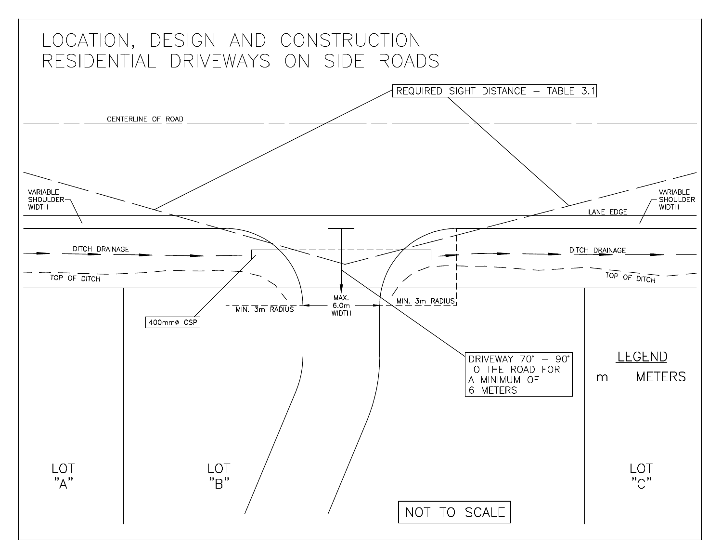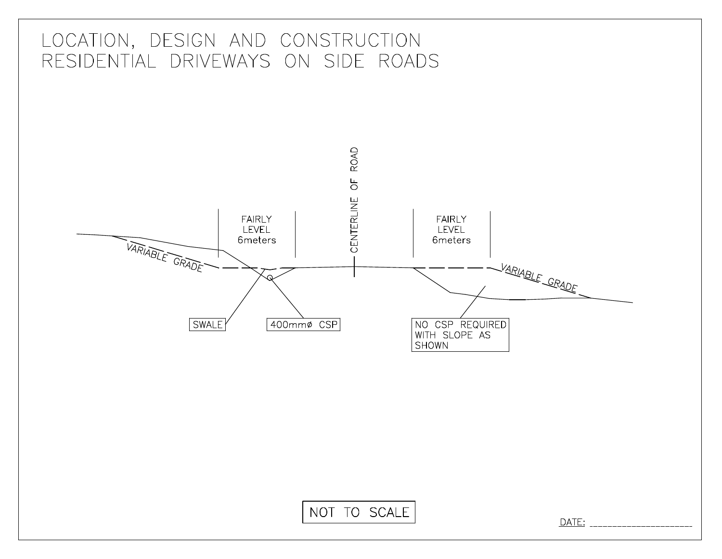